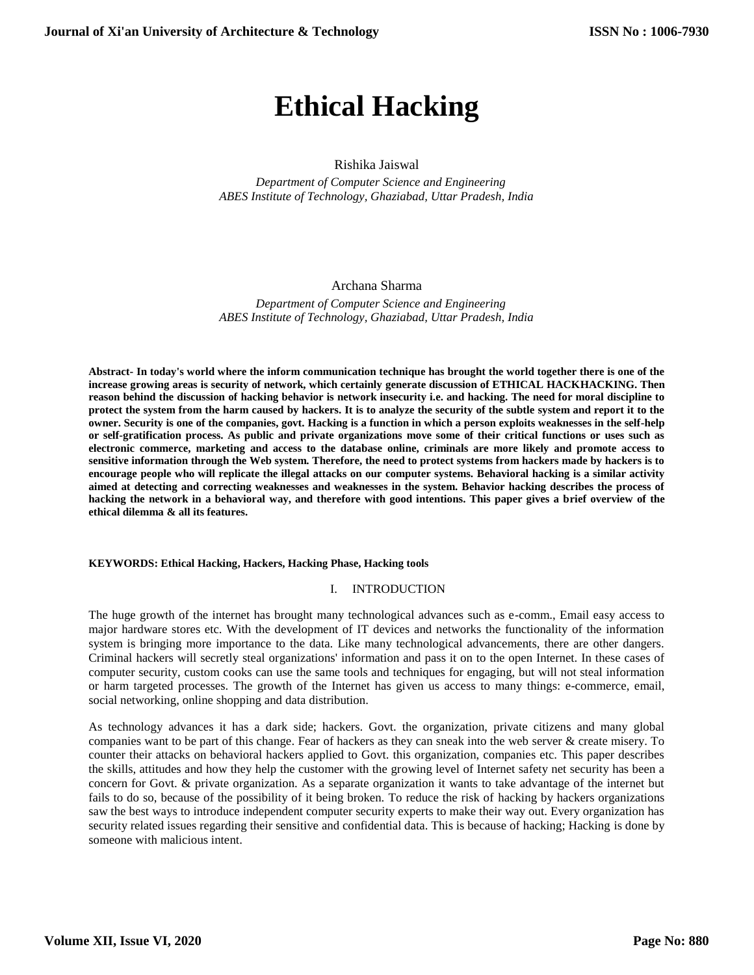# **Ethical Hacking**

# Rishika Jaiswal

 *Department of Computer Science and Engineering ABES Institute of Technology, Ghaziabad, Uttar Pradesh, India*

# Archana Sharma

 *Department of Computer Science and Engineering ABES Institute of Technology, Ghaziabad, Uttar Pradesh, India*

**Abstract- In today's world where the inform communication technique has brought the world together there is one of the increase growing areas is security of network, which certainly generate discussion of ETHICAL HACKHACKING. Then reason behind the discussion of hacking behavior is network insecurity i.e. and hacking. The need for moral discipline to protect the system from the harm caused by hackers. It is to analyze the security of the subtle system and report it to the owner. Security is one of the companies, govt. Hacking is a function in which a person exploits weaknesses in the self-help or self-gratification process. As public and private organizations move some of their critical functions or uses such as electronic commerce, marketing and access to the database online, criminals are more likely and promote access to sensitive information through the Web system. Therefore, the need to protect systems from hackers made by hackers is to encourage people who will replicate the illegal attacks on our computer systems. Behavioral hacking is a similar activity aimed at detecting and correcting weaknesses and weaknesses in the system. Behavior hacking describes the process of hacking the network in a behavioral way, and therefore with good intentions. This paper gives a brief overview of the ethical dilemma & all its features.**

#### **KEYWORDS: Ethical Hacking, Hackers, Hacking Phase, Hacking tools**

#### I. INTRODUCTION

The huge growth of the internet has brought many technological advances such as e-comm., Email easy access to major hardware stores etc. With the development of IT devices and networks the functionality of the information system is bringing more importance to the data. Like many technological advancements, there are other dangers. Criminal hackers will secretly steal organizations' information and pass it on to the open Internet. In these cases of computer security, custom cooks can use the same tools and techniques for engaging, but will not steal information or harm targeted processes. The growth of the Internet has given us access to many things: e-commerce, email, social networking, online shopping and data distribution.

As technology advances it has a dark side; hackers. Govt. the organization, private citizens and many global companies want to be part of this change. Fear of hackers as they can sneak into the web server & create misery. To counter their attacks on behavioral hackers applied to Govt. this organization, companies etc. This paper describes the skills, attitudes and how they help the customer with the growing level of Internet safety net security has been a concern for Govt. & private organization. As a separate organization it wants to take advantage of the internet but fails to do so, because of the possibility of it being broken. To reduce the risk of hacking by hackers organizations saw the best ways to introduce independent computer security experts to make their way out. Every organization has security related issues regarding their sensitive and confidential data. This is because of hacking; Hacking is done by someone with malicious intent.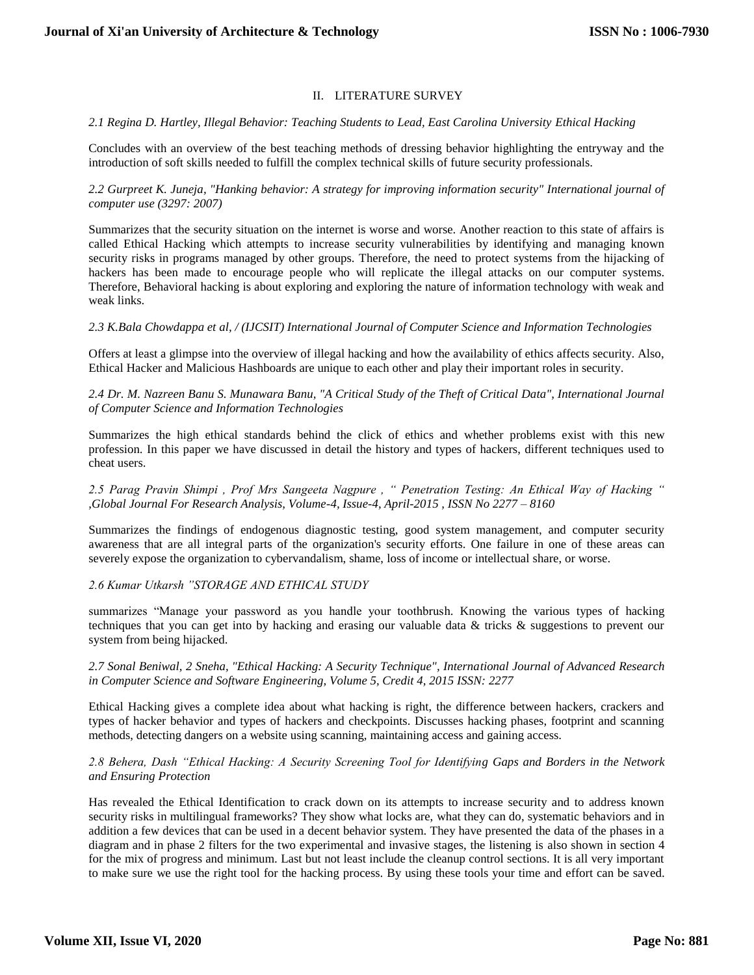# II. LITERATURE SURVEY

### *2.1 Regina D. Hartley, Illegal Behavior: Teaching Students to Lead, East Carolina University Ethical Hacking*

Concludes with an overview of the best teaching methods of dressing behavior highlighting the entryway and the introduction of soft skills needed to fulfill the complex technical skills of future security professionals.

*2.2 Gurpreet K. Juneja, "Hanking behavior: A strategy for improving information security" International journal of computer use (3297: 2007)*

Summarizes that the security situation on the internet is worse and worse. Another reaction to this state of affairs is called Ethical Hacking which attempts to increase security vulnerabilities by identifying and managing known security risks in programs managed by other groups. Therefore, the need to protect systems from the hijacking of hackers has been made to encourage people who will replicate the illegal attacks on our computer systems. Therefore, Behavioral hacking is about exploring and exploring the nature of information technology with weak and weak links.

*2.3 K.Bala Chowdappa et al, / (IJCSIT) International Journal of Computer Science and Information Technologies*

Offers at least a glimpse into the overview of illegal hacking and how the availability of ethics affects security. Also, Ethical Hacker and Malicious Hashboards are unique to each other and play their important roles in security.

*2.4 Dr. M. Nazreen Banu S. Munawara Banu, "A Critical Study of the Theft of Critical Data", International Journal of Computer Science and Information Technologies*

Summarizes the high ethical standards behind the click of ethics and whether problems exist with this new profession. In this paper we have discussed in detail the history and types of hackers, different techniques used to cheat users.

*2.5 Parag Pravin Shimpi , Prof Mrs Sangeeta Nagpure , " Penetration Testing: An Ethical Way of Hacking " ,Global Journal For Research Analysis, Volume-4, Issue-4, April-2015 , ISSN No 2277 – 8160*

Summarizes the findings of endogenous diagnostic testing, good system management, and computer security awareness that are all integral parts of the organization's security efforts. One failure in one of these areas can severely expose the organization to cybervandalism, shame, loss of income or intellectual share, or worse.

*2.6 Kumar Utkarsh "STORAGE AND ETHICAL STUDY*

summarizes "Manage your password as you handle your toothbrush. Knowing the various types of hacking techniques that you can get into by hacking and erasing our valuable data & tricks & suggestions to prevent our system from being hijacked.

*2.7 Sonal Beniwal, 2 Sneha, "Ethical Hacking: A Security Technique", International Journal of Advanced Research in Computer Science and Software Engineering, Volume 5, Credit 4, 2015 ISSN: 2277*

Ethical Hacking gives a complete idea about what hacking is right, the difference between hackers, crackers and types of hacker behavior and types of hackers and checkpoints. Discusses hacking phases, footprint and scanning methods, detecting dangers on a website using scanning, maintaining access and gaining access.

# *2.8 Behera, Dash "Ethical Hacking: A Security Screening Tool for Identifying Gaps and Borders in the Network and Ensuring Protection*

Has revealed the Ethical Identification to crack down on its attempts to increase security and to address known security risks in multilingual frameworks? They show what locks are, what they can do, systematic behaviors and in addition a few devices that can be used in a decent behavior system. They have presented the data of the phases in a diagram and in phase 2 filters for the two experimental and invasive stages, the listening is also shown in section 4 for the mix of progress and minimum. Last but not least include the cleanup control sections. It is all very important to make sure we use the right tool for the hacking process. By using these tools your time and effort can be saved.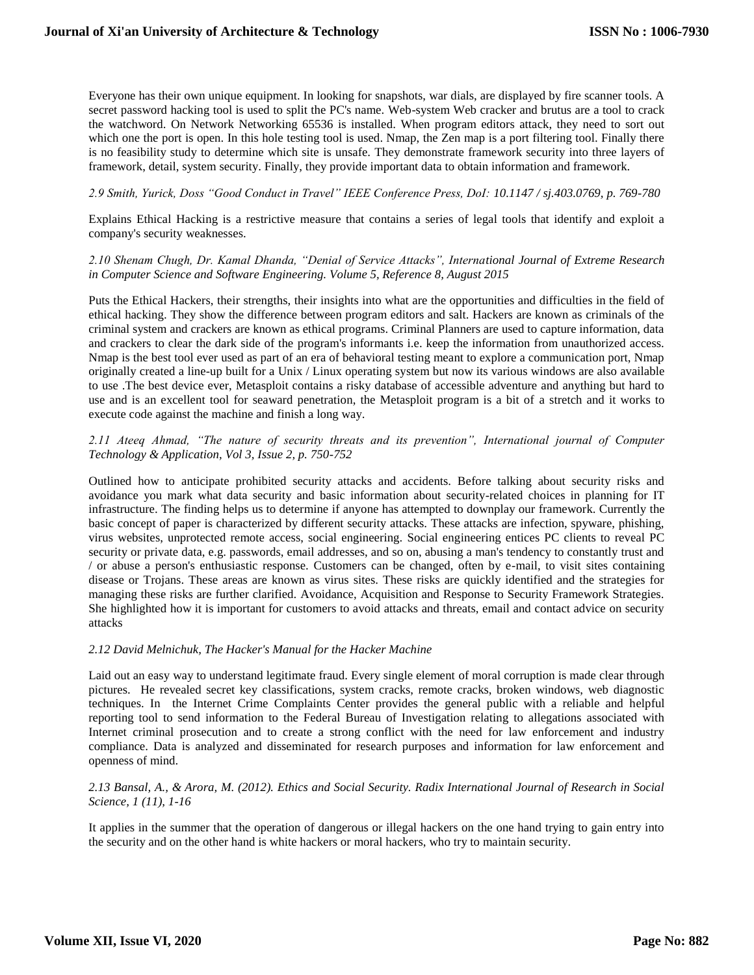Everyone has their own unique equipment. In looking for snapshots, war dials, are displayed by fire scanner tools. A secret password hacking tool is used to split the PC's name. Web-system Web cracker and brutus are a tool to crack the watchword. On Network Networking 65536 is installed. When program editors attack, they need to sort out which one the port is open. In this hole testing tool is used. Nmap, the Zen map is a port filtering tool. Finally there is no feasibility study to determine which site is unsafe. They demonstrate framework security into three layers of framework, detail, system security. Finally, they provide important data to obtain information and framework.

## *2.9 Smith, Yurick, Doss "Good Conduct in Travel" IEEE Conference Press, DoI: 10.1147 / sj.403.0769, p. 769-780*

Explains Ethical Hacking is a restrictive measure that contains a series of legal tools that identify and exploit a company's security weaknesses.

### *2.10 Shenam Chugh, Dr. Kamal Dhanda, "Denial of Service Attacks", International Journal of Extreme Research in Computer Science and Software Engineering. Volume 5, Reference 8, August 2015*

Puts the Ethical Hackers, their strengths, their insights into what are the opportunities and difficulties in the field of ethical hacking. They show the difference between program editors and salt. Hackers are known as criminals of the criminal system and crackers are known as ethical programs. Criminal Planners are used to capture information, data and crackers to clear the dark side of the program's informants i.e. keep the information from unauthorized access. Nmap is the best tool ever used as part of an era of behavioral testing meant to explore a communication port, Nmap originally created a line-up built for a Unix / Linux operating system but now its various windows are also available to use .The best device ever, Metasploit contains a risky database of accessible adventure and anything but hard to use and is an excellent tool for seaward penetration, the Metasploit program is a bit of a stretch and it works to execute code against the machine and finish a long way.

# *2.11 Ateeq Ahmad, "The nature of security threats and its prevention", International journal of Computer Technology & Application, Vol 3, Issue 2, p. 750-752*

Outlined how to anticipate prohibited security attacks and accidents. Before talking about security risks and avoidance you mark what data security and basic information about security-related choices in planning for IT infrastructure. The finding helps us to determine if anyone has attempted to downplay our framework. Currently the basic concept of paper is characterized by different security attacks. These attacks are infection, spyware, phishing, virus websites, unprotected remote access, social engineering. Social engineering entices PC clients to reveal PC security or private data, e.g. passwords, email addresses, and so on, abusing a man's tendency to constantly trust and / or abuse a person's enthusiastic response. Customers can be changed, often by e-mail, to visit sites containing disease or Trojans. These areas are known as virus sites. These risks are quickly identified and the strategies for managing these risks are further clarified. Avoidance, Acquisition and Response to Security Framework Strategies. She highlighted how it is important for customers to avoid attacks and threats, email and contact advice on security attacks

#### *2.12 David Melnichuk, The Hacker's Manual for the Hacker Machine*

Laid out an easy way to understand legitimate fraud. Every single element of moral corruption is made clear through pictures. He revealed secret key classifications, system cracks, remote cracks, broken windows, web diagnostic techniques. In the Internet Crime Complaints Center provides the general public with a reliable and helpful reporting tool to send information to the Federal Bureau of Investigation relating to allegations associated with Internet criminal prosecution and to create a strong conflict with the need for law enforcement and industry compliance. Data is analyzed and disseminated for research purposes and information for law enforcement and openness of mind.

#### *2.13 Bansal, A., & Arora, M. (2012). Ethics and Social Security. Radix International Journal of Research in Social Science, 1 (11), 1-16*

It applies in the summer that the operation of dangerous or illegal hackers on the one hand trying to gain entry into the security and on the other hand is white hackers or moral hackers, who try to maintain security.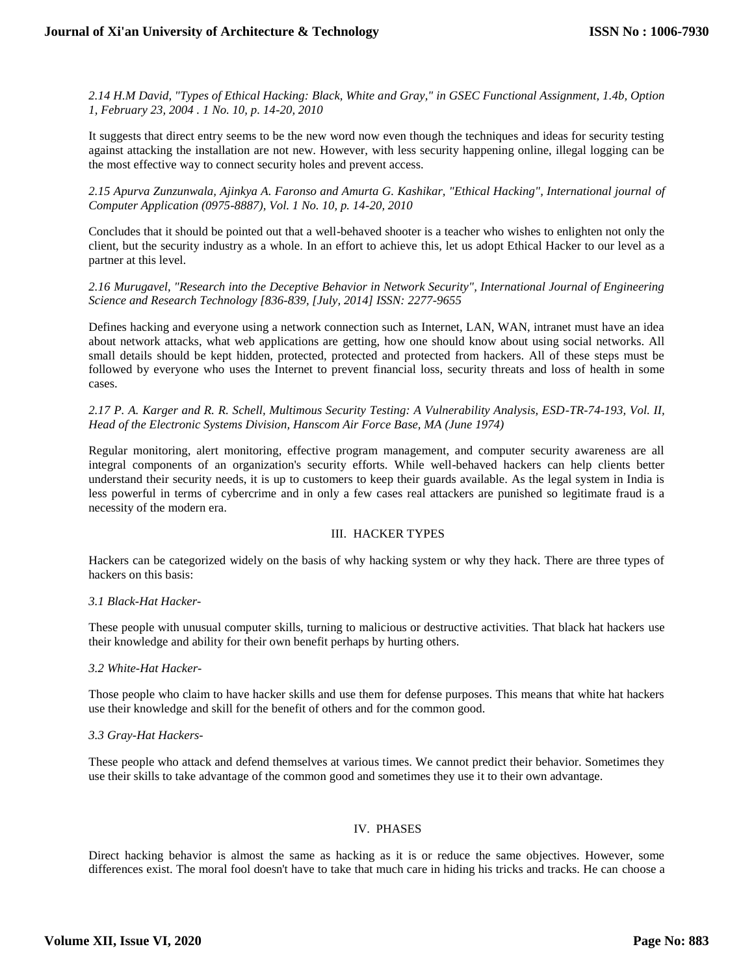*2.14 H.M David, "Types of Ethical Hacking: Black, White and Gray," in GSEC Functional Assignment, 1.4b, Option 1, February 23, 2004 . 1 No. 10, p. 14-20, 2010*

It suggests that direct entry seems to be the new word now even though the techniques and ideas for security testing against attacking the installation are not new. However, with less security happening online, illegal logging can be the most effective way to connect security holes and prevent access.

*2.15 Apurva Zunzunwala, Ajinkya A. Faronso and Amurta G. Kashikar, "Ethical Hacking", International journal of Computer Application (0975-8887), Vol. 1 No. 10, p. 14-20, 2010*

Concludes that it should be pointed out that a well-behaved shooter is a teacher who wishes to enlighten not only the client, but the security industry as a whole. In an effort to achieve this, let us adopt Ethical Hacker to our level as a partner at this level.

## *2.16 Murugavel, "Research into the Deceptive Behavior in Network Security", International Journal of Engineering Science and Research Technology [836-839, [July, 2014] ISSN: 2277-9655*

Defines hacking and everyone using a network connection such as Internet, LAN, WAN, intranet must have an idea about network attacks, what web applications are getting, how one should know about using social networks. All small details should be kept hidden, protected, protected and protected from hackers. All of these steps must be followed by everyone who uses the Internet to prevent financial loss, security threats and loss of health in some cases.

## *2.17 P. A. Karger and R. R. Schell, Multimous Security Testing: A Vulnerability Analysis, ESD-TR-74-193, Vol. II, Head of the Electronic Systems Division, Hanscom Air Force Base, MA (June 1974)*

Regular monitoring, alert monitoring, effective program management, and computer security awareness are all integral components of an organization's security efforts. While well-behaved hackers can help clients better understand their security needs, it is up to customers to keep their guards available. As the legal system in India is less powerful in terms of cybercrime and in only a few cases real attackers are punished so legitimate fraud is a necessity of the modern era.

# III. HACKER TYPES

Hackers can be categorized widely on the basis of why hacking system or why they hack. There are three types of hackers on this basis:

#### *3.1 Black-Hat Hacker-*

These people with unusual computer skills, turning to malicious or destructive activities. That black hat hackers use their knowledge and ability for their own benefit perhaps by hurting others.

#### *3.2 White-Hat Hacker-*

Those people who claim to have hacker skills and use them for defense purposes. This means that white hat hackers use their knowledge and skill for the benefit of others and for the common good.

#### *3.3 Gray-Hat Hackers-*

These people who attack and defend themselves at various times. We cannot predict their behavior. Sometimes they use their skills to take advantage of the common good and sometimes they use it to their own advantage.

# IV. PHASES

Direct hacking behavior is almost the same as hacking as it is or reduce the same objectives. However, some differences exist. The moral fool doesn't have to take that much care in hiding his tricks and tracks. He can choose a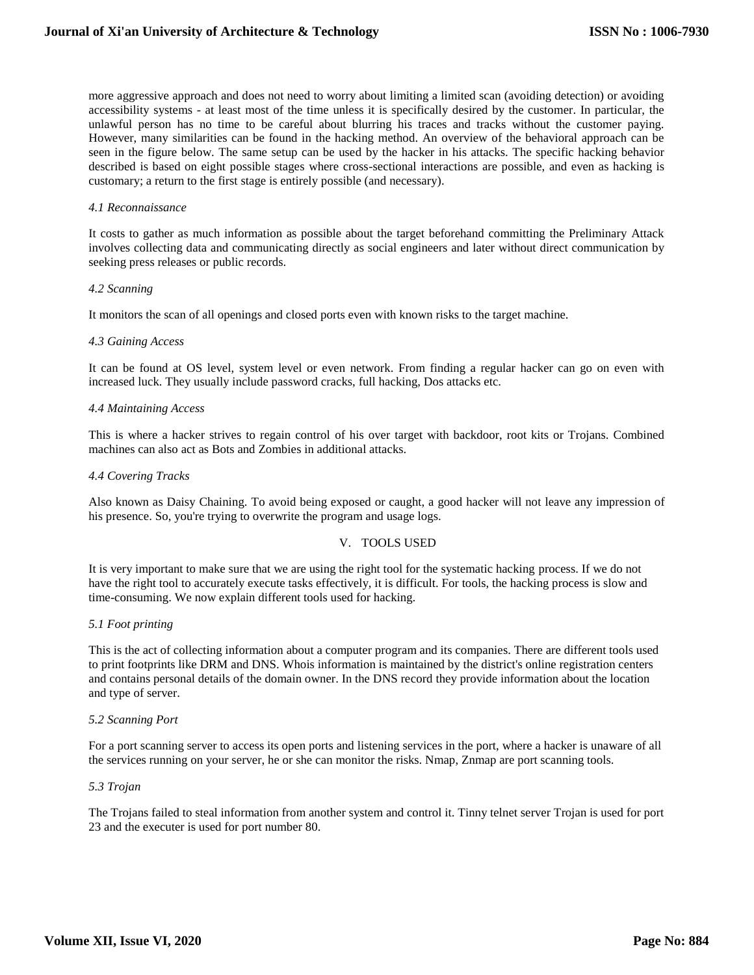more aggressive approach and does not need to worry about limiting a limited scan (avoiding detection) or avoiding accessibility systems - at least most of the time unless it is specifically desired by the customer. In particular, the unlawful person has no time to be careful about blurring his traces and tracks without the customer paying. However, many similarities can be found in the hacking method. An overview of the behavioral approach can be seen in the figure below. The same setup can be used by the hacker in his attacks. The specific hacking behavior described is based on eight possible stages where cross-sectional interactions are possible, and even as hacking is customary; a return to the first stage is entirely possible (and necessary).

#### *4.1 Reconnaissance*

It costs to gather as much information as possible about the target beforehand committing the Preliminary Attack involves collecting data and communicating directly as social engineers and later without direct communication by seeking press releases or public records.

#### *4.2 Scanning*

It monitors the scan of all openings and closed ports even with known risks to the target machine.

## *4.3 Gaining Access*

It can be found at OS level, system level or even network. From finding a regular hacker can go on even with increased luck. They usually include password cracks, full hacking, Dos attacks etc.

#### *4.4 Maintaining Access*

This is where a hacker strives to regain control of his over target with backdoor, root kits or Trojans. Combined machines can also act as Bots and Zombies in additional attacks.

## *4.4 Covering Tracks*

Also known as Daisy Chaining. To avoid being exposed or caught, a good hacker will not leave any impression of his presence. So, you're trying to overwrite the program and usage logs.

# V. TOOLS USED

It is very important to make sure that we are using the right tool for the systematic hacking process. If we do not have the right tool to accurately execute tasks effectively, it is difficult. For tools, the hacking process is slow and time-consuming. We now explain different tools used for hacking.

#### *5.1 Foot printing*

This is the act of collecting information about a computer program and its companies. There are different tools used to print footprints like DRM and DNS. Whois information is maintained by the district's online registration centers and contains personal details of the domain owner. In the DNS record they provide information about the location and type of server.

#### *5.2 Scanning Port*

For a port scanning server to access its open ports and listening services in the port, where a hacker is unaware of all the services running on your server, he or she can monitor the risks. Nmap, Znmap are port scanning tools.

#### *5.3 Trojan*

The Trojans failed to steal information from another system and control it. Tinny telnet server Trojan is used for port 23 and the executer is used for port number 80.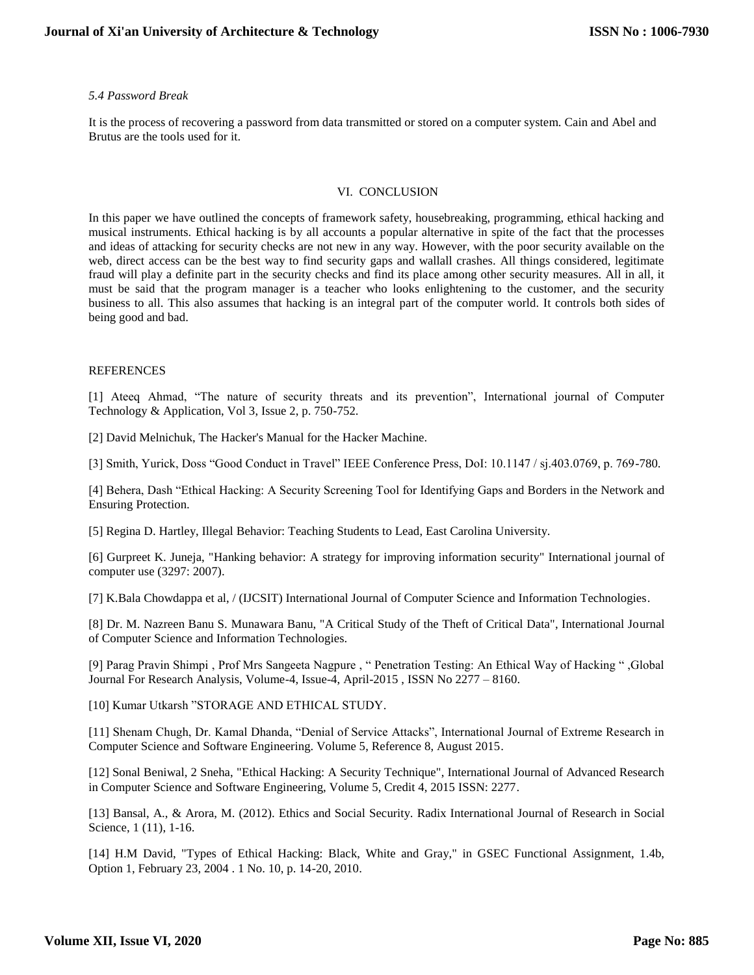### *5.4 Password Break*

It is the process of recovering a password from data transmitted or stored on a computer system. Cain and Abel and Brutus are the tools used for it.

#### VI. CONCLUSION

In this paper we have outlined the concepts of framework safety, housebreaking, programming, ethical hacking and musical instruments. Ethical hacking is by all accounts a popular alternative in spite of the fact that the processes and ideas of attacking for security checks are not new in any way. However, with the poor security available on the web, direct access can be the best way to find security gaps and wallall crashes. All things considered, legitimate fraud will play a definite part in the security checks and find its place among other security measures. All in all, it must be said that the program manager is a teacher who looks enlightening to the customer, and the security business to all. This also assumes that hacking is an integral part of the computer world. It controls both sides of being good and bad.

#### REFERENCES

[1] Ateeq Ahmad, "The nature of security threats and its prevention", International journal of Computer Technology & Application, Vol 3, Issue 2, p. 750-752.

[2] David Melnichuk, The Hacker's Manual for the Hacker Machine.

[3] Smith, Yurick, Doss "Good Conduct in Travel" IEEE Conference Press, DoI: 10.1147 / sj.403.0769, p. 769-780.

[4] Behera, Dash "Ethical Hacking: A Security Screening Tool for Identifying Gaps and Borders in the Network and Ensuring Protection.

[5] Regina D. Hartley, Illegal Behavior: Teaching Students to Lead, East Carolina University.

[6] Gurpreet K. Juneja, "Hanking behavior: A strategy for improving information security" International journal of computer use (3297: 2007).

[7] K.Bala Chowdappa et al, / (IJCSIT) International Journal of Computer Science and Information Technologies.

[8] Dr. M. Nazreen Banu S. Munawara Banu, "A Critical Study of the Theft of Critical Data", International Journal of Computer Science and Information Technologies.

[9] Parag Pravin Shimpi , Prof Mrs Sangeeta Nagpure , " Penetration Testing: An Ethical Way of Hacking " ,Global Journal For Research Analysis, Volume-4, Issue-4, April-2015 , ISSN No 2277 – 8160.

[10] Kumar Utkarsh "STORAGE AND ETHICAL STUDY.

[11] Shenam Chugh, Dr. Kamal Dhanda, "Denial of Service Attacks", International Journal of Extreme Research in Computer Science and Software Engineering. Volume 5, Reference 8, August 2015.

[12] Sonal Beniwal, 2 Sneha, "Ethical Hacking: A Security Technique", International Journal of Advanced Research in Computer Science and Software Engineering, Volume 5, Credit 4, 2015 ISSN: 2277.

[13] Bansal, A., & Arora, M. (2012). Ethics and Social Security. Radix International Journal of Research in Social Science, 1 (11), 1-16.

[14] H.M David, "Types of Ethical Hacking: Black, White and Gray," in GSEC Functional Assignment, 1.4b, Option 1, February 23, 2004 . 1 No. 10, p. 14-20, 2010.